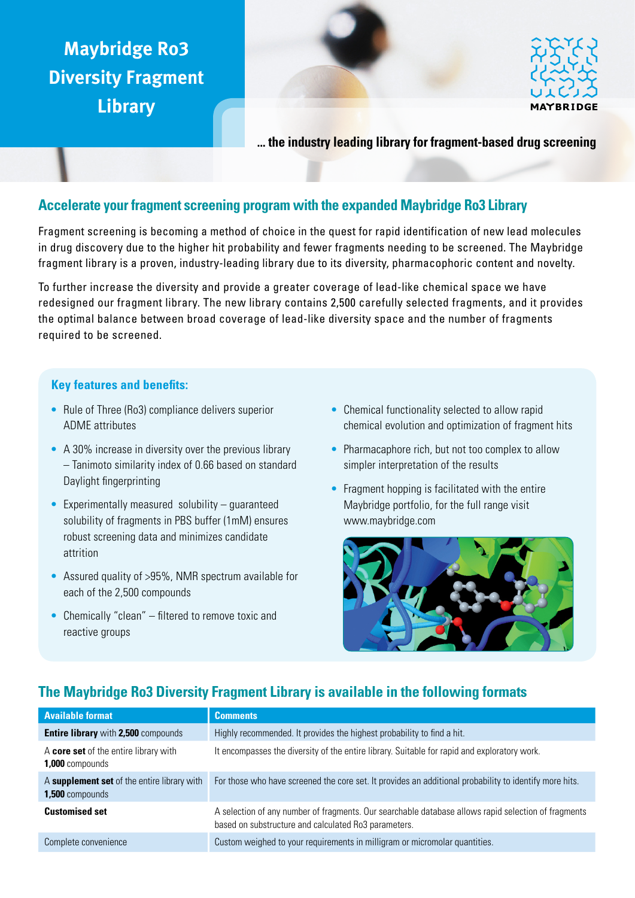# **Maybridge Ro3 Diversity Fragment Library**



**... the industry leading library for fragment-based drug screening**

# **Accelerate your fragment screening program with the expanded Maybridge Ro3 Library**

Fragment screening is becoming a method of choice in the quest for rapid identification of new lead molecules in drug discovery due to the higher hit probability and fewer fragments needing to be screened. The Maybridge fragment library is a proven, industry-leading library due to its diversity, pharmacophoric content and novelty.

To further increase the diversity and provide a greater coverage of lead-like chemical space we have redesigned our fragment library. The new library contains 2,500 carefully selected fragments, and it provides the optimal balance between broad coverage of lead-like diversity space and the number of fragments required to be screened.

# **Key features and benefits:**

- Rule of Three (Ro3) compliance delivers superior ADME attributes
- **•**  A 30% increase in diversity over the previous library – Tanimoto similarity index of 0.66 based on standard Daylight fingerprinting
- Experimentally measured solubility guaranteed solubility of fragments in PBS buffer (1mM) ensures robust screening data and minimizes candidate attrition
- **•**  Assured quality of >95%, NMR spectrum available for each of the 2,500 compounds
- **•**  Chemically "clean" filtered to remove toxic and reactive groups
- Chemical functionality selected to allow rapid chemical evolution and optimization of fragment hits
- Pharmacaphore rich, but not too complex to allow simpler interpretation of the results
- Fragment hopping is facilitated with the entire Maybridge portfolio, for the full range visit www.maybridge.com



# **The Maybridge Ro3 Diversity Fragment Library is available in the following formats**

| <b>Available format</b>                                         | <b>Comments</b>                                                                                                                                             |
|-----------------------------------------------------------------|-------------------------------------------------------------------------------------------------------------------------------------------------------------|
| <b>Entire library with 2,500 compounds</b>                      | Highly recommended. It provides the highest probability to find a hit.                                                                                      |
| A core set of the entire library with<br><b>1,000</b> compounds | It encompasses the diversity of the entire library. Suitable for rapid and exploratory work.                                                                |
| A supplement set of the entire library with<br>1,500 compounds  | For those who have screened the core set. It provides an additional probability to identify more hits.                                                      |
| <b>Customised set</b>                                           | A selection of any number of fragments. Our searchable database allows rapid selection of fragments<br>based on substructure and calculated Ro3 parameters. |
| Complete convenience                                            | Custom weighed to your requirements in milligram or micromolar quantities.                                                                                  |